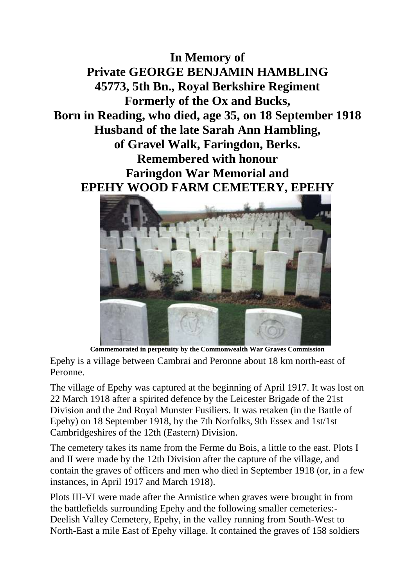**In Memory of Private GEORGE BENJAMIN HAMBLING 45773, 5th Bn., Royal Berkshire Regiment Formerly of the Ox and Bucks, Born in Reading, who died, age 35, on 18 September 1918 Husband of the late Sarah Ann Hambling, of Gravel Walk, Faringdon, Berks. Remembered with honour Faringdon War Memorial and EPEHY WOOD FARM CEMETERY, EPEHY**



**Commemorated in perpetuity by the Commonwealth War Graves Commission** Epehy is a village between Cambrai and Peronne about 18 km north-east of Peronne.

The village of Epehy was captured at the beginning of April 1917. It was lost on 22 March 1918 after a spirited defence by the Leicester Brigade of the 21st Division and the 2nd Royal Munster Fusiliers. It was retaken (in the Battle of Epehy) on 18 September 1918, by the 7th Norfolks, 9th Essex and 1st/1st Cambridgeshires of the 12th (Eastern) Division.

The cemetery takes its name from the Ferme du Bois, a little to the east. Plots I and II were made by the 12th Division after the capture of the village, and contain the graves of officers and men who died in September 1918 (or, in a few instances, in April 1917 and March 1918).

Plots III-VI were made after the Armistice when graves were brought in from the battlefields surrounding Epehy and the following smaller cemeteries:- Deelish Valley Cemetery, Epehy, in the valley running from South-West to North-East a mile East of Epehy village. It contained the graves of 158 soldiers